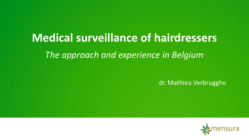# **Medical surveillance of hairdressers** *The approach and experience in Belgium*

dr. Mathieu Verbrugghe

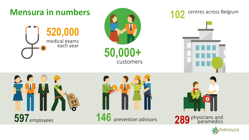

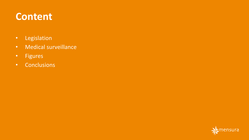# **Content**

- Legislation
- Medical surveillance
- Figures
- Conclusions

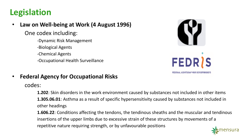## **Legislation**

• **Law on Well-being at Work (4 August 1996)**

One codex including:

- -Dynamic Risk Management
- -Biological Agents
- -Chemical Agents
- -Occupational Health Surveillance





#### • **Federal Agency for Occupational Risks**

codes:

**1.202**: Skin disorders in the work environment caused by substances not included in other items **1.305.06.01**: Asthma as a result of specific hypersensitivity caused by substances not included in other headings

**1.606.22**: Conditions affecting the tendons, the tendinous sheaths and the muscular and tendinous insertions of the upper limbs due to excessive strain of these structures by movements of a repetitive nature requiring strength, or by unfavourable positions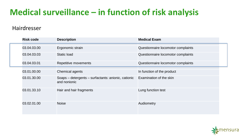## **Medical surveillance – in function of risk analysis**

#### Hairdresser

| <b>Risk code</b> | <b>Description</b>                                                  | <b>Medical Exam</b>                |
|------------------|---------------------------------------------------------------------|------------------------------------|
| 03.04.03.00      | Ergonomic strain                                                    | Questionnaire locomotor complaints |
| 03.04.03.03      | Static load                                                         | Questionnaire locomotor complaints |
| 03.04.03.01      | Repetitive movements                                                | Questionnaire locomotor complaints |
| 03.01.00.00      | Chemical agents                                                     | In function of the product         |
| 03.01.30.00      | Soaps - detergents - surfactants: anionic, cationic<br>and nonionic | Examination of the skin            |
| 03.01.33.10      | Hair and hair fragments                                             | Lung function test                 |
| 03.02.01.00      | <b>Noise</b>                                                        | Audiometry                         |

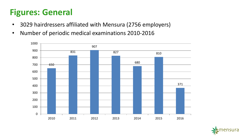## **Figures: General**

- 3029 hairdressers affiliated with Mensura (2756 employers)
- Number of periodic medical examinations 2010-2016



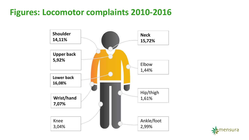### **Figures: Locomotor complaints 2010-2016**



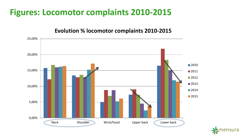### **Figures: Locomotor complaints 2010-2015**

#### **Evolution % locomotor complaints 2010-2015**



ensura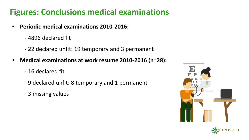### **Figures: Conclusions medical examinations**

- **Periodic medical examinations 2010-2016:**
	- 4896 declared fit
	- 22 declared unfit: 19 temporary and 3 permanent
- **Medical examinations at work resume 2010-2016 (n=28):**
	- 16 declared fit
	- 9 declared unfit: 8 temporary and 1 permanent
	- 3 missing values

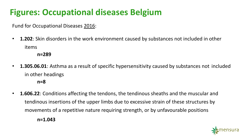# **Figures: Occupational diseases Belgium**

Fund for Occupational Diseases 2016:

- **1.202**: Skin disorders in the work environment caused by substances not included in other items
	- **n=289**
- **1.305.06.01**: Asthma as a result of specific hypersensitivity caused by substances not included in other headings

**n=8**

• **1.606.22**: Conditions affecting the tendons, the tendinous sheaths and the muscular and tendinous insertions of the upper limbs due to excessive strain of these structures by movements of a repetitive nature requiring strength, or by unfavourable positions



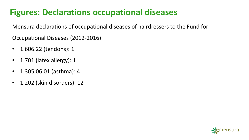## **Figures: Declarations occupational diseases**

Mensura declarations of occupational diseases of hairdressers to the Fund for

Occupational Diseases (2012-2016):

- 1.606.22 (tendons): 1
- 1.701 (latex allergy): 1
- 1.305.06.01 (asthma): 4
- 1.202 (skin disorders): 12

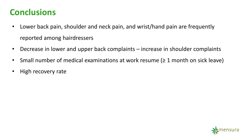#### **Conclusions**

- Lower back pain, shoulder and neck pain, and wrist/hand pain are frequently reported among hairdressers
- Decrease in lower and upper back complaints increase in shoulder complaints
- Small number of medical examinations at work resume  $(≥ 1$  month on sick leave)
- High recovery rate